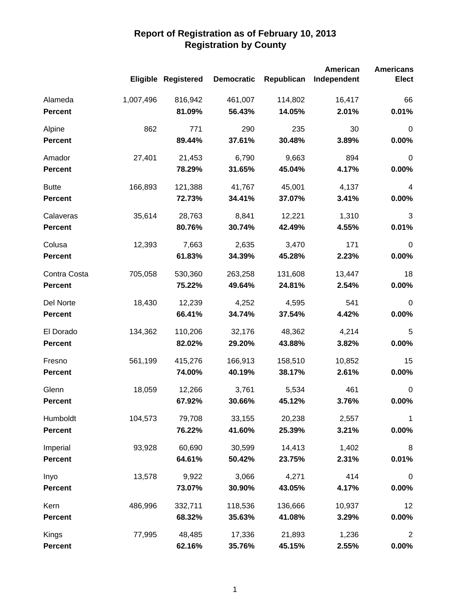|                |           |                            |                   |            | American    | <b>Americans</b> |
|----------------|-----------|----------------------------|-------------------|------------|-------------|------------------|
|                |           | <b>Eligible Registered</b> | <b>Democratic</b> | Republican | Independent | <b>Elect</b>     |
| Alameda        | 1,007,496 | 816,942                    | 461,007           | 114,802    | 16,417      | 66               |
| <b>Percent</b> |           | 81.09%                     | 56.43%            | 14.05%     | 2.01%       | 0.01%            |
| Alpine         | 862       | 771                        | 290               | 235        | 30          | $\mathbf 0$      |
| <b>Percent</b> |           | 89.44%                     | 37.61%            | 30.48%     | 3.89%       | 0.00%            |
| Amador         | 27,401    | 21,453                     | 6,790             | 9,663      | 894         | $\boldsymbol{0}$ |
| <b>Percent</b> |           | 78.29%                     | 31.65%            | 45.04%     | 4.17%       | 0.00%            |
| <b>Butte</b>   | 166,893   | 121,388                    | 41,767            | 45,001     | 4,137       | $\overline{4}$   |
| <b>Percent</b> |           | 72.73%                     | 34.41%            | 37.07%     | 3.41%       | 0.00%            |
| Calaveras      | 35,614    | 28,763                     | 8,841             | 12,221     | 1,310       | 3                |
| <b>Percent</b> |           | 80.76%                     | 30.74%            | 42.49%     | 4.55%       | 0.01%            |
| Colusa         | 12,393    | 7,663                      | 2,635             | 3,470      | 171         | $\mathbf 0$      |
| <b>Percent</b> |           | 61.83%                     | 34.39%            | 45.28%     | 2.23%       | 0.00%            |
| Contra Costa   | 705,058   | 530,360                    | 263,258           | 131,608    | 13,447      | 18               |
| <b>Percent</b> |           | 75.22%                     | 49.64%            | 24.81%     | 2.54%       | 0.00%            |
| Del Norte      | 18,430    | 12,239                     | 4,252             | 4,595      | 541         | $\mathbf 0$      |
| <b>Percent</b> |           | 66.41%                     | 34.74%            | 37.54%     | 4.42%       | 0.00%            |
| El Dorado      | 134,362   | 110,206                    | 32,176            | 48,362     | 4,214       | 5                |
| <b>Percent</b> |           | 82.02%                     | 29.20%            | 43.88%     | 3.82%       | 0.00%            |
| Fresno         | 561,199   | 415,276                    | 166,913           | 158,510    | 10,852      | 15               |
| <b>Percent</b> |           | 74.00%                     | 40.19%            | 38.17%     | 2.61%       | 0.00%            |
| Glenn          | 18,059    | 12,266                     | 3,761             | 5,534      | 461         | $\mathbf 0$      |
| <b>Percent</b> |           | 67.92%                     | 30.66%            | 45.12%     | 3.76%       | 0.00%            |
| Humboldt       | 104,573   | 79,708                     | 33,155            | 20,238     | 2,557       | 1                |
| <b>Percent</b> |           | 76.22%                     | 41.60%            | 25.39%     | 3.21%       | $0.00\%$         |
| Imperial       | 93,928    | 60,690                     | 30,599            | 14,413     | 1,402       | 8                |
| <b>Percent</b> |           | 64.61%                     | 50.42%            | 23.75%     | 2.31%       | 0.01%            |
| Inyo           | 13,578    | 9,922                      | 3,066             | 4,271      | 414         | $\boldsymbol{0}$ |
| <b>Percent</b> |           | 73.07%                     | 30.90%            | 43.05%     | 4.17%       | 0.00%            |
| Kern           | 486,996   | 332,711                    | 118,536           | 136,666    | 10,937      | 12               |
| <b>Percent</b> |           | 68.32%                     | 35.63%            | 41.08%     | 3.29%       | $0.00\%$         |
| Kings          | 77,995    | 48,485                     | 17,336            | 21,893     | 1,236       | $\boldsymbol{2}$ |
| Percent        |           | 62.16%                     | 35.76%            | 45.15%     | 2.55%       | $0.00\%$         |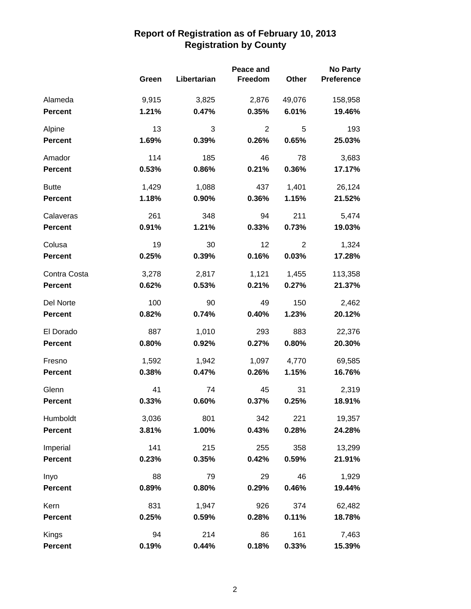|                |       | Peace and   |                |                | <b>No Party</b>   |
|----------------|-------|-------------|----------------|----------------|-------------------|
|                | Green | Libertarian | Freedom        | Other          | <b>Preference</b> |
| Alameda        | 9,915 | 3,825       | 2,876          | 49,076         | 158,958           |
| <b>Percent</b> | 1.21% | 0.47%       | 0.35%          | 6.01%          | 19.46%            |
| Alpine         | 13    | 3           | $\overline{2}$ | 5              | 193               |
| <b>Percent</b> | 1.69% | 0.39%       | 0.26%          | 0.65%          | 25.03%            |
| Amador         | 114   | 185         | 46             | 78             | 3,683             |
| <b>Percent</b> | 0.53% | 0.86%       | 0.21%          | 0.36%          | 17.17%            |
| <b>Butte</b>   | 1,429 | 1,088       | 437            | 1,401          | 26,124            |
| <b>Percent</b> | 1.18% | 0.90%       | 0.36%          | 1.15%          | 21.52%            |
| Calaveras      | 261   | 348         | 94             | 211            | 5,474             |
| <b>Percent</b> | 0.91% | 1.21%       | 0.33%          | 0.73%          | 19.03%            |
| Colusa         | 19    | 30          | 12             | $\overline{2}$ | 1,324             |
| <b>Percent</b> | 0.25% | 0.39%       | 0.16%          | 0.03%          | 17.28%            |
| Contra Costa   | 3,278 | 2,817       | 1,121          | 1,455          | 113,358           |
| <b>Percent</b> | 0.62% | 0.53%       | 0.21%          | 0.27%          | 21.37%            |
| Del Norte      | 100   | 90          | 49             | 150            | 2,462             |
| <b>Percent</b> | 0.82% | 0.74%       | 0.40%          | 1.23%          | 20.12%            |
| El Dorado      | 887   | 1,010       | 293            | 883            | 22,376            |
| <b>Percent</b> | 0.80% | 0.92%       | 0.27%          | 0.80%          | 20.30%            |
| Fresno         | 1,592 | 1,942       | 1,097          | 4,770          | 69,585            |
| <b>Percent</b> | 0.38% | 0.47%       | 0.26%          | 1.15%          | 16.76%            |
| Glenn          | 41    | 74          | 45             | 31             | 2,319             |
| <b>Percent</b> | 0.33% | 0.60%       | 0.37%          | 0.25%          | 18.91%            |
| Humboldt       | 3,036 | 801         | 342            | 221            | 19,357            |
| <b>Percent</b> | 3.81% | 1.00%       | 0.43%          | 0.28%          | 24.28%            |
| Imperial       | 141   | 215         | 255            | 358            | 13,299            |
| <b>Percent</b> | 0.23% | 0.35%       | 0.42%          | 0.59%          | 21.91%            |
| Inyo           | 88    | 79          | 29             | 46             | 1,929             |
| <b>Percent</b> | 0.89% | 0.80%       | 0.29%          | 0.46%          | 19.44%            |
| Kern           | 831   | 1,947       | 926            | 374            | 62,482            |
| <b>Percent</b> | 0.25% | 0.59%       | 0.28%          | 0.11%          | 18.78%            |
| Kings          | 94    | 214         | 86             | 161            | 7,463             |
| Percent        | 0.19% | 0.44%       | 0.18%          | 0.33%          | 15.39%            |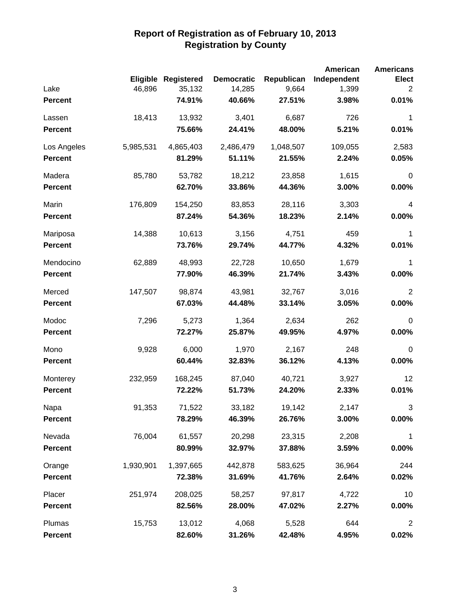|                |           |                            |                   |            | American    | <b>Americans</b> |
|----------------|-----------|----------------------------|-------------------|------------|-------------|------------------|
|                |           | <b>Eligible Registered</b> | <b>Democratic</b> | Republican | Independent | <b>Elect</b>     |
| Lake           | 46,896    | 35,132                     | 14,285            | 9,664      | 1,399       | 2                |
| Percent        |           | 74.91%                     | 40.66%            | 27.51%     | 3.98%       | 0.01%            |
| Lassen         | 18,413    | 13,932                     | 3,401             | 6,687      | 726         | 1                |
| <b>Percent</b> |           | 75.66%                     | 24.41%            | 48.00%     | 5.21%       | 0.01%            |
| Los Angeles    | 5,985,531 | 4,865,403                  | 2,486,479         | 1,048,507  | 109,055     | 2,583            |
| <b>Percent</b> |           | 81.29%                     | 51.11%            | 21.55%     | 2.24%       | 0.05%            |
| Madera         | 85,780    | 53,782                     | 18,212            | 23,858     | 1,615       | $\pmb{0}$        |
| <b>Percent</b> |           | 62.70%                     | 33.86%            | 44.36%     | 3.00%       | 0.00%            |
| Marin          | 176,809   | 154,250                    | 83,853            | 28,116     | 3,303       | $\overline{4}$   |
| <b>Percent</b> |           | 87.24%                     | 54.36%            | 18.23%     | 2.14%       | 0.00%            |
| Mariposa       | 14,388    | 10,613                     | 3,156             | 4,751      | 459         | 1                |
| <b>Percent</b> |           | 73.76%                     | 29.74%            | 44.77%     | 4.32%       | 0.01%            |
| Mendocino      | 62,889    | 48,993                     | 22,728            | 10,650     | 1,679       | $\mathbf{1}$     |
| <b>Percent</b> |           | 77.90%                     | 46.39%            | 21.74%     | 3.43%       | 0.00%            |
| Merced         | 147,507   | 98,874                     | 43,981            | 32,767     | 3,016       | 2                |
| <b>Percent</b> |           | 67.03%                     | 44.48%            | 33.14%     | 3.05%       | 0.00%            |
| Modoc          | 7,296     | 5,273                      | 1,364             | 2,634      | 262         | $\mathbf 0$      |
| <b>Percent</b> |           | 72.27%                     | 25.87%            | 49.95%     | 4.97%       | 0.00%            |
| Mono           | 9,928     | 6,000                      | 1,970             | 2,167      | 248         | $\mathbf 0$      |
| <b>Percent</b> |           | 60.44%                     | 32.83%            | 36.12%     | 4.13%       | 0.00%            |
| Monterey       | 232,959   | 168,245                    | 87,040            | 40,721     | 3,927       | 12               |
| <b>Percent</b> |           | 72.22%                     | 51.73%            | 24.20%     | 2.33%       | 0.01%            |
| Napa           | 91,353    | 71,522                     | 33,182            | 19,142     | 2,147       | 3                |
| <b>Percent</b> |           | 78.29%                     | 46.39%            | 26.76%     | 3.00%       | $0.00\%$         |
| Nevada         | 76,004    | 61,557                     | 20,298            | 23,315     | 2,208       | 1                |
| <b>Percent</b> |           | 80.99%                     | 32.97%            | 37.88%     | 3.59%       | 0.00%            |
| Orange         | 1,930,901 | 1,397,665                  | 442,878           | 583,625    | 36,964      | 244              |
| <b>Percent</b> |           | 72.38%                     | 31.69%            | 41.76%     | 2.64%       | 0.02%            |
| Placer         | 251,974   | 208,025                    | 58,257            | 97,817     | 4,722       | 10               |
| <b>Percent</b> |           | 82.56%                     | 28.00%            | 47.02%     | 2.27%       | 0.00%            |
| Plumas         | 15,753    | 13,012                     | 4,068             | 5,528      | 644         | $\overline{2}$   |
| Percent        |           | 82.60%                     | 31.26%            | 42.48%     | 4.95%       | 0.02%            |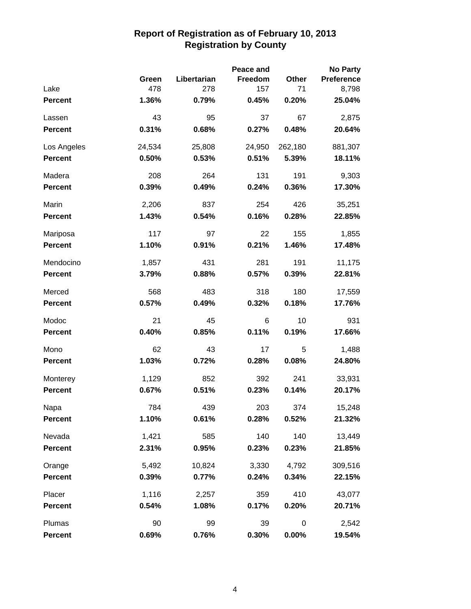|                |        |             | Peace and |          | <b>No Party</b>   |
|----------------|--------|-------------|-----------|----------|-------------------|
|                | Green  | Libertarian | Freedom   | Other    | <b>Preference</b> |
| Lake           | 478    | 278         | 157       | 71       | 8,798             |
| <b>Percent</b> | 1.36%  | 0.79%       | 0.45%     | 0.20%    | 25.04%            |
| Lassen         | 43     | 95          | 37        | 67       | 2,875             |
| <b>Percent</b> | 0.31%  | 0.68%       | 0.27%     | 0.48%    | 20.64%            |
| Los Angeles    | 24,534 | 25,808      | 24,950    | 262,180  | 881,307           |
| <b>Percent</b> | 0.50%  | 0.53%       | 0.51%     | 5.39%    | 18.11%            |
| Madera         | 208    | 264         | 131       | 191      | 9,303             |
| <b>Percent</b> | 0.39%  | 0.49%       | 0.24%     | 0.36%    | 17.30%            |
| Marin          | 2,206  | 837         | 254       | 426      | 35,251            |
| <b>Percent</b> | 1.43%  | 0.54%       | 0.16%     | 0.28%    | 22.85%            |
| Mariposa       | 117    | 97          | 22        | 155      | 1,855             |
| <b>Percent</b> | 1.10%  | 0.91%       | 0.21%     | 1.46%    | 17.48%            |
| Mendocino      | 1,857  | 431         | 281       | 191      | 11,175            |
| <b>Percent</b> | 3.79%  | 0.88%       | 0.57%     | 0.39%    | 22.81%            |
| Merced         | 568    | 483         | 318       | 180      | 17,559            |
| <b>Percent</b> | 0.57%  | 0.49%       | 0.32%     | 0.18%    | 17.76%            |
| Modoc          | 21     | 45          | 6         | 10       | 931               |
| <b>Percent</b> | 0.40%  | 0.85%       | 0.11%     | 0.19%    | 17.66%            |
| Mono           | 62     | 43          | 17        | 5        | 1,488             |
| Percent        | 1.03%  | 0.72%       | 0.28%     | 0.08%    | 24.80%            |
| Monterey       | 1,129  | 852         | 392       | 241      | 33,931            |
| <b>Percent</b> | 0.67%  | 0.51%       | 0.23%     | 0.14%    | 20.17%            |
| Napa           | 784    | 439         | 203       | 374      | 15,248            |
| <b>Percent</b> | 1.10%  | 0.61%       | 0.28%     | 0.52%    | 21.32%            |
| Nevada         | 1,421  | 585         | 140       | 140      | 13,449            |
| <b>Percent</b> | 2.31%  | 0.95%       | 0.23%     | 0.23%    | 21.85%            |
| Orange         | 5,492  | 10,824      | 3,330     | 4,792    | 309,516           |
| <b>Percent</b> | 0.39%  | 0.77%       | 0.24%     | 0.34%    | 22.15%            |
| Placer         | 1,116  | 2,257       | 359       | 410      | 43,077            |
| <b>Percent</b> | 0.54%  | 1.08%       | 0.17%     | 0.20%    | 20.71%            |
| Plumas         | 90     | 99          | 39        | 0        | 2,542             |
| <b>Percent</b> | 0.69%  | 0.76%       | 0.30%     | $0.00\%$ | 19.54%            |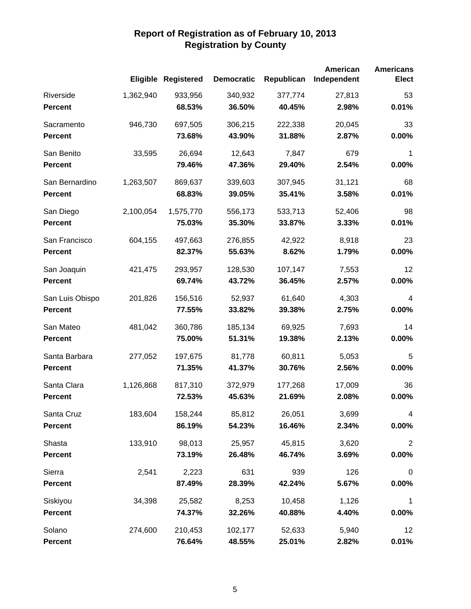|                 |           | Eligible Registered | <b>Democratic</b> | Republican | American<br>Independent | <b>Americans</b><br><b>Elect</b> |
|-----------------|-----------|---------------------|-------------------|------------|-------------------------|----------------------------------|
| Riverside       | 1,362,940 | 933,956             | 340,932           | 377,774    | 27,813                  | 53                               |
| <b>Percent</b>  |           | 68.53%              | 36.50%            | 40.45%     | 2.98%                   | 0.01%                            |
| Sacramento      | 946,730   | 697,505             | 306,215           | 222,338    | 20,045                  | 33                               |
| <b>Percent</b>  |           | 73.68%              | 43.90%            | 31.88%     | 2.87%                   | 0.00%                            |
| San Benito      | 33,595    | 26,694              | 12,643            | 7,847      | 679                     | 1                                |
| <b>Percent</b>  |           | 79.46%              | 47.36%            | 29.40%     | 2.54%                   | 0.00%                            |
| San Bernardino  | 1,263,507 | 869,637             | 339,603           | 307,945    | 31,121                  | 68                               |
| <b>Percent</b>  |           | 68.83%              | 39.05%            | 35.41%     | 3.58%                   | 0.01%                            |
| San Diego       | 2,100,054 | 1,575,770           | 556,173           | 533,713    | 52,406                  | 98                               |
| <b>Percent</b>  |           | 75.03%              | 35.30%            | 33.87%     | 3.33%                   | 0.01%                            |
| San Francisco   | 604,155   | 497,663             | 276,855           | 42,922     | 8,918                   | 23                               |
| <b>Percent</b>  |           | 82.37%              | 55.63%            | 8.62%      | 1.79%                   | 0.00%                            |
| San Joaquin     | 421,475   | 293,957             | 128,530           | 107,147    | 7,553                   | 12                               |
| <b>Percent</b>  |           | 69.74%              | 43.72%            | 36.45%     | 2.57%                   | 0.00%                            |
| San Luis Obispo | 201,826   | 156,516             | 52,937            | 61,640     | 4,303                   | 4                                |
| <b>Percent</b>  |           | 77.55%              | 33.82%            | 39.38%     | 2.75%                   | 0.00%                            |
| San Mateo       | 481,042   | 360,786             | 185,134           | 69,925     | 7,693                   | 14                               |
| <b>Percent</b>  |           | 75.00%              | 51.31%            | 19.38%     | 2.13%                   | 0.00%                            |
| Santa Barbara   | 277,052   | 197,675             | 81,778            | 60,811     | 5,053                   | 5                                |
| <b>Percent</b>  |           | 71.35%              | 41.37%            | 30.76%     | 2.56%                   | 0.00%                            |
| Santa Clara     | 1,126,868 | 817,310             | 372,979           | 177,268    | 17,009                  | 36                               |
| <b>Percent</b>  |           | 72.53%              | 45.63%            | 21.69%     | 2.08%                   | 0.00%                            |
| Santa Cruz      | 183,604   | 158,244             | 85,812            | 26,051     | 3,699                   | 4                                |
| <b>Percent</b>  |           | 86.19%              | 54.23%            | 16.46%     | 2.34%                   | $0.00\%$                         |
| Shasta          | 133,910   | 98,013              | 25,957            | 45,815     | 3,620                   | $\overline{2}$                   |
| <b>Percent</b>  |           | 73.19%              | 26.48%            | 46.74%     | 3.69%                   | $0.00\%$                         |
| Sierra          | 2,541     | 2,223               | 631               | 939        | 126                     | $\pmb{0}$                        |
| <b>Percent</b>  |           | 87.49%              | 28.39%            | 42.24%     | 5.67%                   | $0.00\%$                         |
| Siskiyou        | 34,398    | 25,582              | 8,253             | 10,458     | 1,126                   | 1                                |
| <b>Percent</b>  |           | 74.37%              | 32.26%            | 40.88%     | 4.40%                   | $0.00\%$                         |
| Solano          | 274,600   | 210,453             | 102,177           | 52,633     | 5,940                   | 12                               |
| <b>Percent</b>  |           | 76.64%              | 48.55%            | 25.01%     | 2.82%                   | 0.01%                            |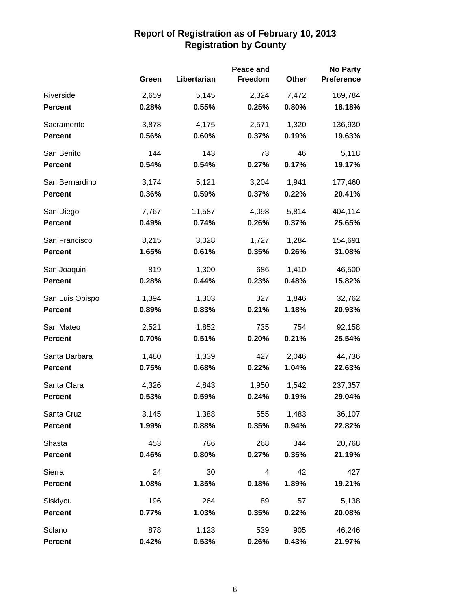|                 |       |             | Peace and |       | <b>No Party</b>   |
|-----------------|-------|-------------|-----------|-------|-------------------|
|                 | Green | Libertarian | Freedom   | Other | <b>Preference</b> |
| Riverside       | 2,659 | 5,145       | 2,324     | 7,472 | 169,784           |
| <b>Percent</b>  | 0.28% | 0.55%       | 0.25%     | 0.80% | 18.18%            |
| Sacramento      | 3,878 | 4,175       | 2,571     | 1,320 | 136,930           |
| <b>Percent</b>  | 0.56% | 0.60%       | 0.37%     | 0.19% | 19.63%            |
| San Benito      | 144   | 143         | 73        | 46    | 5,118             |
| <b>Percent</b>  | 0.54% | 0.54%       | 0.27%     | 0.17% | 19.17%            |
| San Bernardino  | 3,174 | 5,121       | 3,204     | 1,941 | 177,460           |
| <b>Percent</b>  | 0.36% | 0.59%       | 0.37%     | 0.22% | 20.41%            |
| San Diego       | 7,767 | 11,587      | 4,098     | 5,814 | 404,114           |
| <b>Percent</b>  | 0.49% | 0.74%       | 0.26%     | 0.37% | 25.65%            |
| San Francisco   | 8,215 | 3,028       | 1,727     | 1,284 | 154,691           |
| <b>Percent</b>  | 1.65% | 0.61%       | 0.35%     | 0.26% | 31.08%            |
| San Joaquin     | 819   | 1,300       | 686       | 1,410 | 46,500            |
| <b>Percent</b>  | 0.28% | 0.44%       | 0.23%     | 0.48% | 15.82%            |
| San Luis Obispo | 1,394 | 1,303       | 327       | 1,846 | 32,762            |
| <b>Percent</b>  | 0.89% | 0.83%       | 0.21%     | 1.18% | 20.93%            |
| San Mateo       | 2,521 | 1,852       | 735       | 754   | 92,158            |
| <b>Percent</b>  | 0.70% | 0.51%       | 0.20%     | 0.21% | 25.54%            |
| Santa Barbara   | 1,480 | 1,339       | 427       | 2,046 | 44,736            |
| <b>Percent</b>  | 0.75% | 0.68%       | 0.22%     | 1.04% | 22.63%            |
| Santa Clara     | 4,326 | 4,843       | 1,950     | 1,542 | 237,357           |
| <b>Percent</b>  | 0.53% | 0.59%       | 0.24%     | 0.19% | 29.04%            |
| Santa Cruz      | 3,145 | 1,388       | 555       | 1,483 | 36,107            |
| <b>Percent</b>  | 1.99% | 0.88%       | 0.35%     | 0.94% | 22.82%            |
| Shasta          | 453   | 786         | 268       | 344   | 20,768            |
| <b>Percent</b>  | 0.46% | 0.80%       | 0.27%     | 0.35% | 21.19%            |
| Sierra          | 24    | 30          | 4         | 42    | 427               |
| <b>Percent</b>  | 1.08% | 1.35%       | 0.18%     | 1.89% | 19.21%            |
| Siskiyou        | 196   | 264         | 89        | 57    | 5,138             |
| <b>Percent</b>  | 0.77% | 1.03%       | 0.35%     | 0.22% | 20.08%            |
| Solano          | 878   | 1,123       | 539       | 905   | 46,246            |
| <b>Percent</b>  | 0.42% | 0.53%       | 0.26%     | 0.43% | 21.97%            |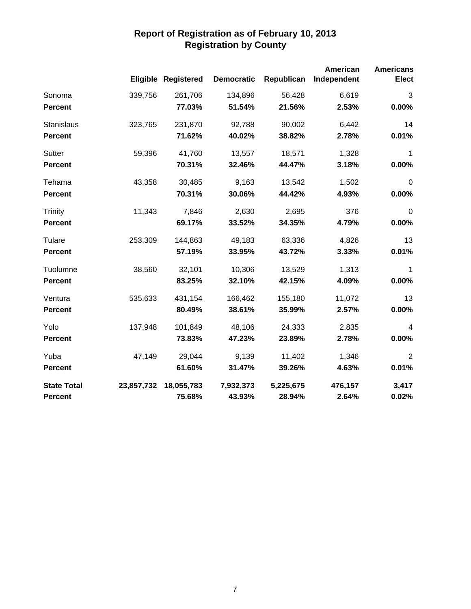|                    |            | <b>Eligible Registered</b> | <b>Democratic</b> | Republican | American<br>Independent | <b>Americans</b><br><b>Elect</b> |
|--------------------|------------|----------------------------|-------------------|------------|-------------------------|----------------------------------|
| Sonoma             | 339,756    | 261,706                    | 134,896           | 56,428     | 6,619                   | $\sqrt{3}$                       |
| <b>Percent</b>     |            | 77.03%                     | 51.54%            | 21.56%     | 2.53%                   | 0.00%                            |
| <b>Stanislaus</b>  | 323,765    | 231,870                    | 92,788            | 90,002     | 6,442                   | 14                               |
| <b>Percent</b>     |            | 71.62%                     | 40.02%            | 38.82%     | 2.78%                   | 0.01%                            |
| Sutter             | 59,396     | 41,760                     | 13,557            | 18,571     | 1,328                   | $\mathbf 1$                      |
| <b>Percent</b>     |            | 70.31%                     | 32.46%            | 44.47%     | 3.18%                   | 0.00%                            |
| Tehama             | 43,358     | 30,485                     | 9,163             | 13,542     | 1,502                   | $\mathbf 0$                      |
| <b>Percent</b>     |            | 70.31%                     | 30.06%            | 44.42%     | 4.93%                   | 0.00%                            |
| <b>Trinity</b>     | 11,343     | 7,846                      | 2,630             | 2,695      | 376                     | $\boldsymbol{0}$                 |
| Percent            |            | 69.17%                     | 33.52%            | 34.35%     | 4.79%                   | 0.00%                            |
| Tulare             | 253,309    | 144,863                    | 49,183            | 63,336     | 4,826                   | 13                               |
| <b>Percent</b>     |            | 57.19%                     | 33.95%            | 43.72%     | 3.33%                   | 0.01%                            |
| Tuolumne           | 38,560     | 32,101                     | 10,306            | 13,529     | 1,313                   | 1                                |
| <b>Percent</b>     |            | 83.25%                     | 32.10%            | 42.15%     | 4.09%                   | 0.00%                            |
| Ventura            | 535,633    | 431,154                    | 166,462           | 155,180    | 11,072                  | 13                               |
| <b>Percent</b>     |            | 80.49%                     | 38.61%            | 35.99%     | 2.57%                   | 0.00%                            |
| Yolo               | 137,948    | 101,849                    | 48,106            | 24,333     | 2,835                   | $\overline{4}$                   |
| <b>Percent</b>     |            | 73.83%                     | 47.23%            | 23.89%     | 2.78%                   | 0.00%                            |
| Yuba               | 47,149     | 29,044                     | 9,139             | 11,402     | 1,346                   | $\overline{2}$                   |
| <b>Percent</b>     |            | 61.60%                     | 31.47%            | 39.26%     | 4.63%                   | 0.01%                            |
| <b>State Total</b> | 23,857,732 | 18,055,783                 | 7,932,373         | 5,225,675  | 476,157                 | 3,417                            |
| <b>Percent</b>     |            | 75.68%                     | 43.93%            | 28.94%     | 2.64%                   | 0.02%                            |